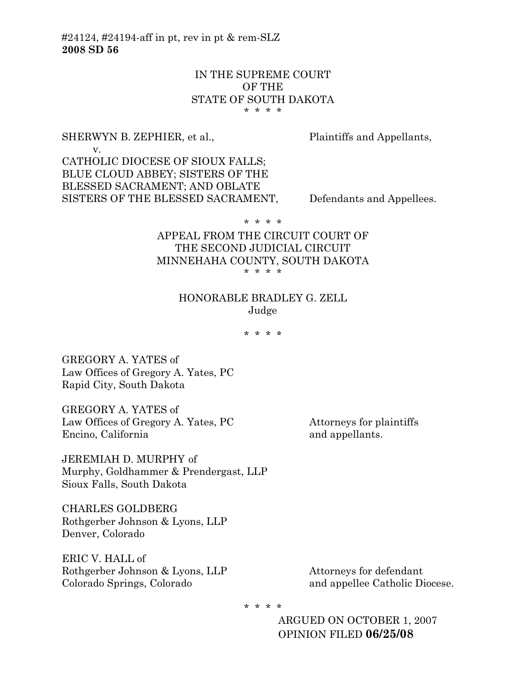#24124, #24194-aff in pt, rev in pt & rem-SLZ **2008 SD 56**

## IN THE SUPREME COURT OF THE STATE OF SOUTH DAKOTA \* \* \* \*

# SHERWYN B. ZEPHIER, et al., Plaintiffs and Appellants,

 v. CATHOLIC DIOCESE OF SIOUX FALLS; BLUE CLOUD ABBEY; SISTERS OF THE BLESSED SACRAMENT; AND OBLATE SISTERS OF THE BLESSED SACRAMENT, Defendants and Appellees.

\* \* \* \*

### APPEAL FROM THE CIRCUIT COURT OF THE SECOND JUDICIAL CIRCUIT MINNEHAHA COUNTY, SOUTH DAKOTA \* \* \* \*

# HONORABLE BRADLEY G. ZELL Judge

\* \* \* \*

GREGORY A. YATES of Law Offices of Gregory A. Yates, PC Rapid City, South Dakota

GREGORY A. YATES of Law Offices of Gregory A. Yates, PC Attorneys for plaintiffs Encino, California and appellants.

JEREMIAH D. MURPHY of Murphy, Goldhammer & Prendergast, LLP Sioux Falls, South Dakota

CHARLES GOLDBERG Rothgerber Johnson & Lyons, LLP Denver, Colorado

ERIC V. HALL of Rothgerber Johnson & Lyons, LLP Attorneys for defendant Colorado Springs, Colorado and appellee Catholic Diocese.

\* \* \* \*

ARGUED ON OCTOBER 1, 2007 OPINION FILED **06/25/08**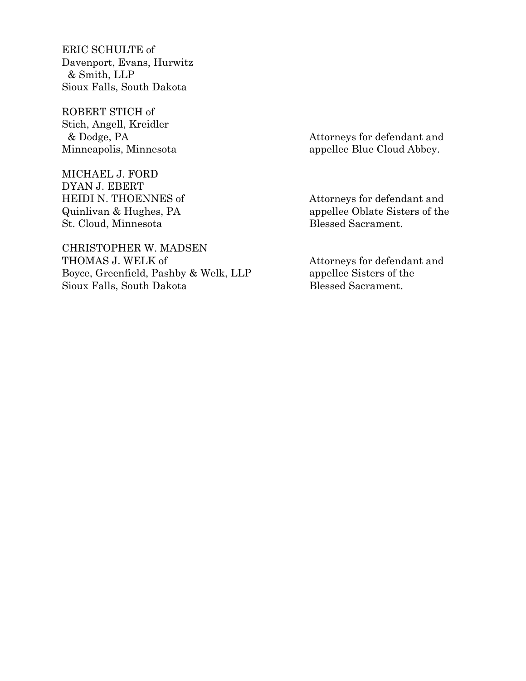ERIC SCHULTE of Davenport, Evans, Hurwitz & Smith, LLP Sioux Falls, South Dakota

ROBERT STICH of Stich, Angell, Kreidler

MICHAEL J. FORD DYAN J. EBERT HEIDI N. THOENNES of Attorneys for defendant and St. Cloud, Minnesota Blessed Sacrament.

CHRISTOPHER W. MADSEN THOMAS J. WELK of  $\hfill$  Attorneys for defendant and Boyce, Greenfield, Pashby & Welk, LLP appellee Sisters of the Sioux Falls, South Dakota Blessed Sacrament.

 & Dodge, PA Attorneys for defendant and Minneapolis, Minnesota appellee Blue Cloud Abbey.

Quinlivan & Hughes, PA appellee Oblate Sisters of the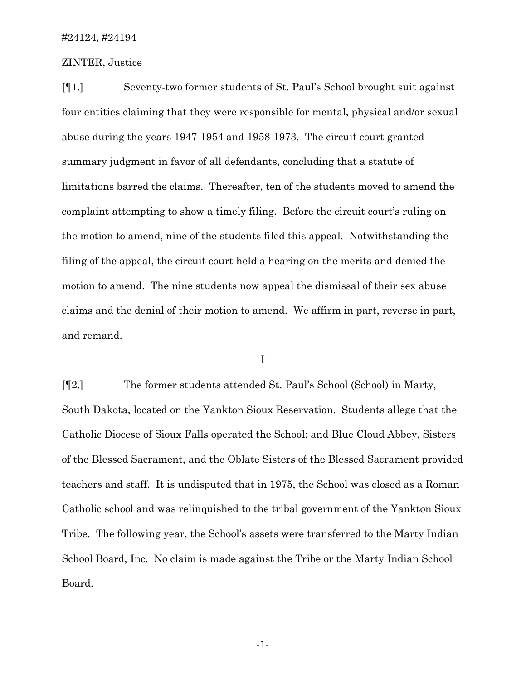## ZINTER, Justice

[¶1.] Seventy-two former students of St. Paul's School brought suit against four entities claiming that they were responsible for mental, physical and/or sexual abuse during the years 1947-1954 and 1958-1973. The circuit court granted summary judgment in favor of all defendants, concluding that a statute of limitations barred the claims. Thereafter, ten of the students moved to amend the complaint attempting to show a timely filing. Before the circuit court's ruling on the motion to amend, nine of the students filed this appeal. Notwithstanding the filing of the appeal, the circuit court held a hearing on the merits and denied the motion to amend. The nine students now appeal the dismissal of their sex abuse claims and the denial of their motion to amend. We affirm in part, reverse in part, and remand.

I

[¶2.] The former students attended St. Paul's School (School) in Marty, South Dakota, located on the Yankton Sioux Reservation. Students allege that the Catholic Diocese of Sioux Falls operated the School; and Blue Cloud Abbey, Sisters of the Blessed Sacrament, and the Oblate Sisters of the Blessed Sacrament provided teachers and staff. It is undisputed that in 1975, the School was closed as a Roman Catholic school and was relinquished to the tribal government of the Yankton Sioux Tribe. The following year, the School's assets were transferred to the Marty Indian School Board, Inc. No claim is made against the Tribe or the Marty Indian School Board.

-1-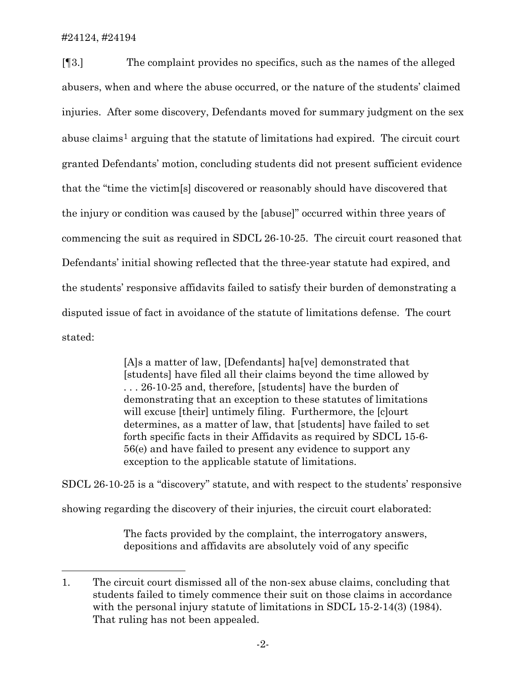l

[¶3.] The complaint provides no specifics, such as the names of the alleged abusers, when and where the abuse occurred, or the nature of the students' claimed injuries. After some discovery, Defendants moved for summary judgment on the sex abuse claims<sup>[1](#page-3-0)</sup> arguing that the statute of limitations had expired. The circuit court granted Defendants' motion, concluding students did not present sufficient evidence that the "time the victim[s] discovered or reasonably should have discovered that the injury or condition was caused by the [abuse]" occurred within three years of commencing the suit as required in SDCL 26-10-25. The circuit court reasoned that Defendants' initial showing reflected that the three-year statute had expired, and the students' responsive affidavits failed to satisfy their burden of demonstrating a disputed issue of fact in avoidance of the statute of limitations defense. The court stated:

> [A]s a matter of law, [Defendants] ha[ve] demonstrated that [students] have filed all their claims beyond the time allowed by . . . 26-10-25 and, therefore, [students] have the burden of demonstrating that an exception to these statutes of limitations will excuse [their] untimely filing. Furthermore, the [c]ourt determines, as a matter of law, that [students] have failed to set forth specific facts in their Affidavits as required by SDCL 15-6- 56(e) and have failed to present any evidence to support any exception to the applicable statute of limitations.

SDCL 26-10-25 is a "discovery" statute, and with respect to the students' responsive showing regarding the discovery of their injuries, the circuit court elaborated:

> The facts provided by the complaint, the interrogatory answers, depositions and affidavits are absolutely void of any specific

<span id="page-3-0"></span><sup>1.</sup> The circuit court dismissed all of the non-sex abuse claims, concluding that students failed to timely commence their suit on those claims in accordance with the personal injury statute of limitations in SDCL 15-2-14(3) (1984). That ruling has not been appealed.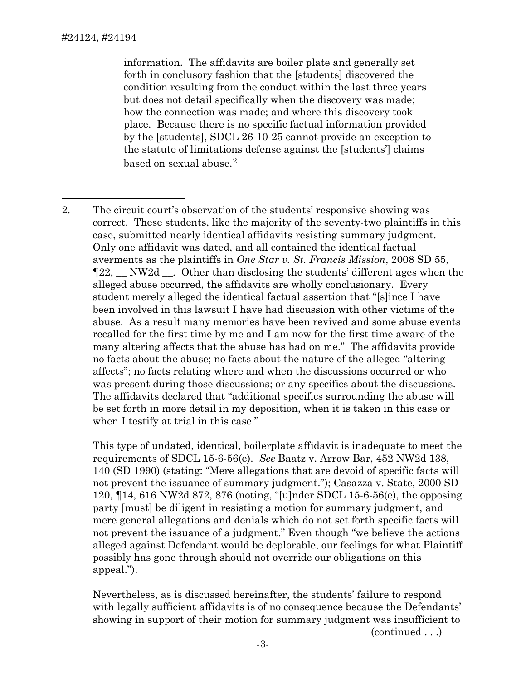information. The affidavits are boiler plate and generally set forth in conclusory fashion that the [students] discovered the condition resulting from the conduct within the last three years but does not detail specifically when the discovery was made; how the connection was made; and where this discovery took place. Because there is no specific factual information provided by the [students], SDCL 26-10-25 cannot provide an exception to the statute of limitations defense against the [students'] claims based on sexual abuse.[2](#page-4-0)

<span id="page-4-0"></span>l 2. The circuit court's observation of the students' responsive showing was correct. These students, like the majority of the seventy-two plaintiffs in this case, submitted nearly identical affidavits resisting summary judgment. Only one affidavit was dated, and all contained the identical factual averments as the plaintiffs in *One Star v. St. Francis Mission*, 2008 SD 55, ¶22, \_\_ NW2d \_\_. Other than disclosing the students' different ages when the alleged abuse occurred, the affidavits are wholly conclusionary. Every student merely alleged the identical factual assertion that "[s]ince I have been involved in this lawsuit I have had discussion with other victims of the abuse. As a result many memories have been revived and some abuse events recalled for the first time by me and I am now for the first time aware of the many altering affects that the abuse has had on me." The affidavits provide no facts about the abuse; no facts about the nature of the alleged "altering affects"; no facts relating where and when the discussions occurred or who was present during those discussions; or any specifics about the discussions. The affidavits declared that "additional specifics surrounding the abuse will be set forth in more detail in my deposition, when it is taken in this case or when I testify at trial in this case."

This type of undated, identical, boilerplate affidavit is inadequate to meet the requirements of SDCL 15-6-56(e). *See* Baatz v. Arrow Bar, 452 NW2d 138, 140 (SD 1990) (stating: "Mere allegations that are devoid of specific facts will not prevent the issuance of summary judgment."); Casazza v. State, 2000 SD 120, ¶14, 616 NW2d 872, 876 (noting, "[u]nder SDCL 15-6-56(e), the opposing party [must] be diligent in resisting a motion for summary judgment, and mere general allegations and denials which do not set forth specific facts will not prevent the issuance of a judgment." Even though "we believe the actions alleged against Defendant would be deplorable, our feelings for what Plaintiff possibly has gone through should not override our obligations on this appeal.").

Nevertheless, as is discussed hereinafter, the students' failure to respond with legally sufficient affidavits is of no consequence because the Defendants' showing in support of their motion for summary judgment was insufficient to

(continued . . .)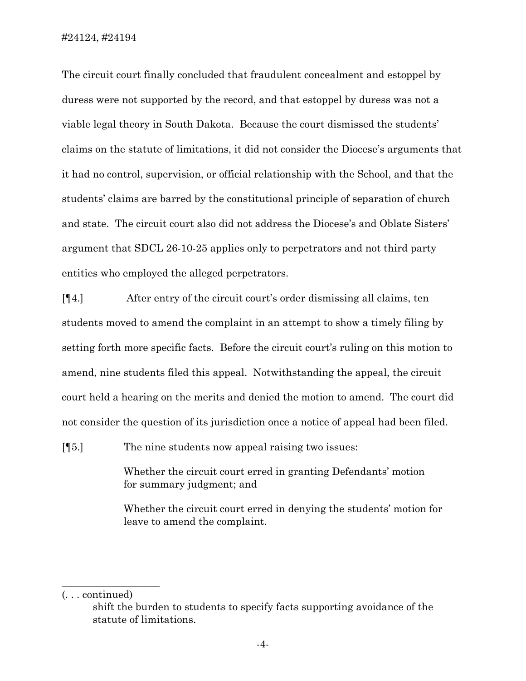The circuit court finally concluded that fraudulent concealment and estoppel by duress were not supported by the record, and that estoppel by duress was not a viable legal theory in South Dakota. Because the court dismissed the students' claims on the statute of limitations, it did not consider the Diocese's arguments that it had no control, supervision, or official relationship with the School, and that the students' claims are barred by the constitutional principle of separation of church and state. The circuit court also did not address the Diocese's and Oblate Sisters' argument that SDCL 26-10-25 applies only to perpetrators and not third party entities who employed the alleged perpetrators.

[¶4.] After entry of the circuit court's order dismissing all claims, ten students moved to amend the complaint in an attempt to show a timely filing by setting forth more specific facts. Before the circuit court's ruling on this motion to amend, nine students filed this appeal. Notwithstanding the appeal, the circuit court held a hearing on the merits and denied the motion to amend. The court did not consider the question of its jurisdiction once a notice of appeal had been filed.

[¶5.] The nine students now appeal raising two issues:

Whether the circuit court erred in granting Defendants' motion for summary judgment; and

Whether the circuit court erred in denying the students' motion for leave to amend the complaint.

(. . . continued)

 $\_$ 

shift the burden to students to specify facts supporting avoidance of the statute of limitations.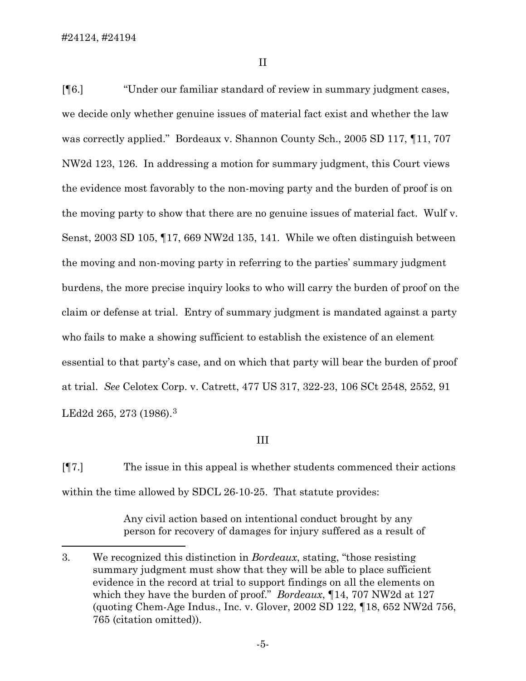$\overline{a}$ 

II

[¶6.] "Under our familiar standard of review in summary judgment cases, we decide only whether genuine issues of material fact exist and whether the law was correctly applied." Bordeaux v. Shannon County Sch., 2005 SD 117, ¶11, 707 NW2d 123, 126. In addressing a motion for summary judgment, this Court views the evidence most favorably to the non-moving party and the burden of proof is on the moving party to show that there are no genuine issues of material fact. Wulf v. Senst, 2003 SD 105, ¶17, 669 NW2d 135, 141. While we often distinguish between the moving and non-moving party in referring to the parties' summary judgment burdens, the more precise inquiry looks to who will carry the burden of proof on the claim or defense at trial. Entry of summary judgment is mandated against a party who fails to make a showing sufficient to establish the existence of an element essential to that party's case, and on which that party will bear the burden of proof at trial. *See* Celotex Corp. v. Catrett, 477 US 317, 322-23, 106 SCt 2548, 2552, 91 LEd2d 265, 273 (1986).[3](#page-6-0)

### III

[¶7.] The issue in this appeal is whether students commenced their actions within the time allowed by SDCL 26-10-25. That statute provides:

> Any civil action based on intentional conduct brought by any person for recovery of damages for injury suffered as a result of

<span id="page-6-0"></span><sup>3.</sup> We recognized this distinction in *Bordeaux*, stating, "those resisting summary judgment must show that they will be able to place sufficient evidence in the record at trial to support findings on all the elements on which they have the burden of proof." *Bordeaux*, ¶14, 707 NW2d at 127 (quoting Chem-Age Indus., Inc. v. Glover, 2002 SD 122, ¶18, 652 NW2d 756, 765 (citation omitted)).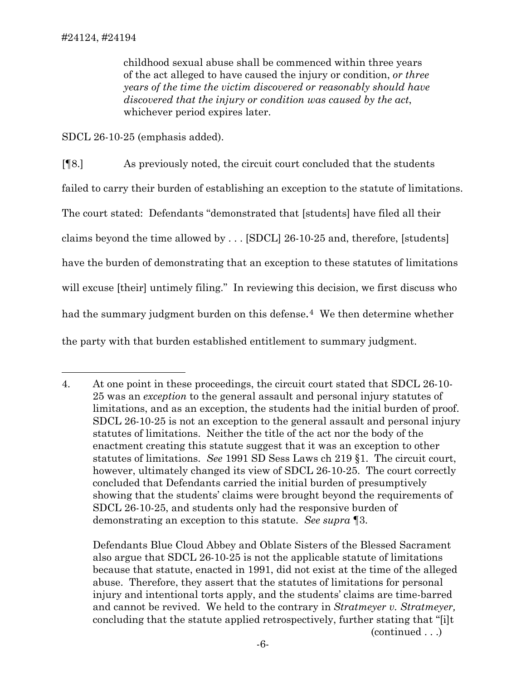$\overline{a}$ 

childhood sexual abuse shall be commenced within three years of the act alleged to have caused the injury or condition, *or three years of the time the victim discovered or reasonably should have discovered that the injury or condition was caused by the act*, whichever period expires later.

SDCL 26-10-25 (emphasis added).

[¶8.] As previously noted, the circuit court concluded that the students failed to carry their burden of establishing an exception to the statute of limitations. The court stated: Defendants "demonstrated that [students] have filed all their claims beyond the time allowed by . . . [SDCL] 26-10-25 and, therefore, [students] have the burden of demonstrating that an exception to these statutes of limitations will excuse [their] untimely filing." In reviewing this decision, we first discuss who had the summary judgment burden on this defense.<sup>[4](#page-7-0)</sup> We then determine whether the party with that burden established entitlement to summary judgment.

Defendants Blue Cloud Abbey and Oblate Sisters of the Blessed Sacrament also argue that SDCL 26-10-25 is not the applicable statute of limitations because that statute, enacted in 1991, did not exist at the time of the alleged abuse. Therefore, they assert that the statutes of limitations for personal injury and intentional torts apply, and the students' claims are time-barred and cannot be revived. We held to the contrary in *Stratmeyer v. Stratmeyer,*  concluding that the statute applied retrospectively, further stating that "[i]t

(continued . . .)

<span id="page-7-0"></span><sup>4.</sup> At one point in these proceedings, the circuit court stated that SDCL 26-10- 25 was an *exception* to the general assault and personal injury statutes of limitations, and as an exception, the students had the initial burden of proof. SDCL 26-10-25 is not an exception to the general assault and personal injury statutes of limitations. Neither the title of the act nor the body of the enactment creating this statute suggest that it was an exception to other statutes of limitations. *See* 1991 SD Sess Laws ch 219 §1. The circuit court, however, ultimately changed its view of SDCL 26-10-25. The court correctly concluded that Defendants carried the initial burden of presumptively showing that the students' claims were brought beyond the requirements of SDCL 26-10-25, and students only had the responsive burden of demonstrating an exception to this statute. *See supra* ¶3.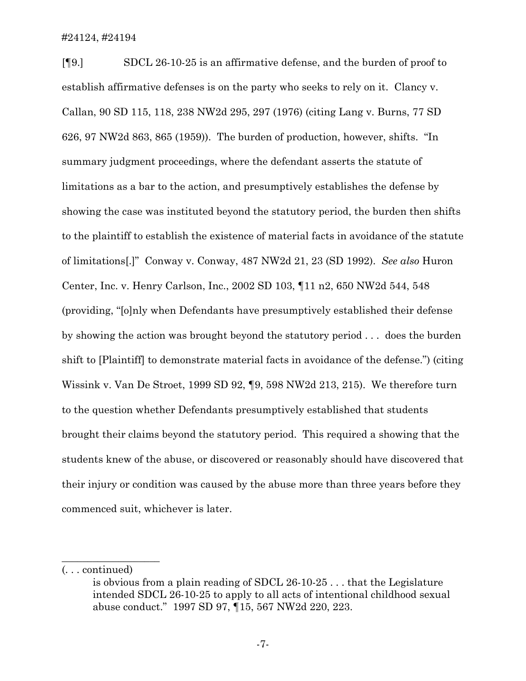[¶9.] SDCL 26-10-25 is an affirmative defense, and the burden of proof to establish affirmative defenses is on the party who seeks to rely on it. Clancy v. Callan, 90 SD 115, 118, 238 NW2d 295, 297 (1976) (citing Lang v. Burns, 77 SD 626, 97 NW2d 863, 865 (1959)). The burden of production, however, shifts. "In summary judgment proceedings, where the defendant asserts the statute of limitations as a bar to the action, and presumptively establishes the defense by showing the case was instituted beyond the statutory period, the burden then shifts to the plaintiff to establish the existence of material facts in avoidance of the statute of limitations[.]" Conway v. Conway, 487 NW2d 21, 23 (SD 1992). *See also* Huron Center, Inc. v. Henry Carlson, Inc., 2002 SD 103, ¶11 n2, 650 NW2d 544, 548 (providing, "[o]nly when Defendants have presumptively established their defense by showing the action was brought beyond the statutory period . . . does the burden shift to [Plaintiff] to demonstrate material facts in avoidance of the defense.") (citing Wissink v. Van De Stroet, 1999 SD 92, ¶9, 598 NW2d 213, 215). We therefore turn to the question whether Defendants presumptively established that students brought their claims beyond the statutory period. This required a showing that the students knew of the abuse, or discovered or reasonably should have discovered that their injury or condition was caused by the abuse more than three years before they commenced suit, whichever is later.

 $\_$ 

<sup>(. . .</sup> continued)

is obvious from a plain reading of SDCL 26-10-25 . . . that the Legislature intended SDCL 26-10-25 to apply to all acts of intentional childhood sexual abuse conduct." 1997 SD 97, ¶15, 567 NW2d 220, 223.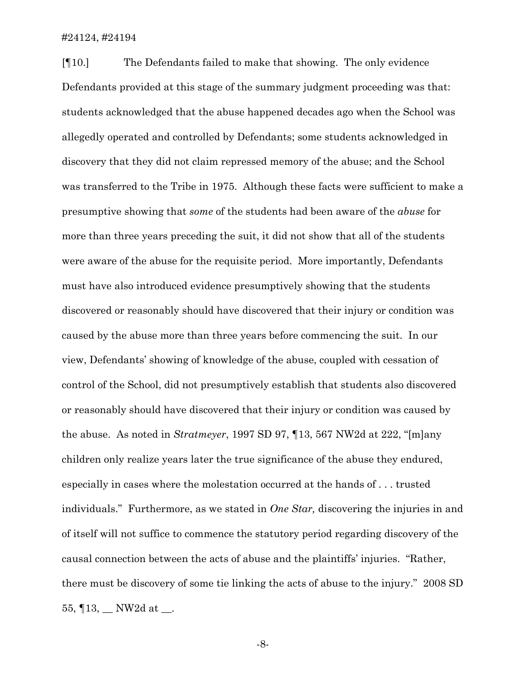[¶10.] The Defendants failed to make that showing. The only evidence Defendants provided at this stage of the summary judgment proceeding was that: students acknowledged that the abuse happened decades ago when the School was allegedly operated and controlled by Defendants; some students acknowledged in discovery that they did not claim repressed memory of the abuse; and the School was transferred to the Tribe in 1975. Although these facts were sufficient to make a presumptive showing that *some* of the students had been aware of the *abuse* for more than three years preceding the suit, it did not show that all of the students were aware of the abuse for the requisite period. More importantly, Defendants must have also introduced evidence presumptively showing that the students discovered or reasonably should have discovered that their injury or condition was caused by the abuse more than three years before commencing the suit. In our view, Defendants' showing of knowledge of the abuse, coupled with cessation of control of the School, did not presumptively establish that students also discovered or reasonably should have discovered that their injury or condition was caused by the abuse. As noted in *Stratmeyer*, 1997 SD 97, ¶13, 567 NW2d at 222, "[m]any children only realize years later the true significance of the abuse they endured, especially in cases where the molestation occurred at the hands of . . . trusted individuals." Furthermore, as we stated in *One Star,* discovering the injuries in and of itself will not suffice to commence the statutory period regarding discovery of the causal connection between the acts of abuse and the plaintiffs' injuries. "Rather, there must be discovery of some tie linking the acts of abuse to the injury." 2008 SD 55,  $\P$ 13,  $\Box$  NW2d at  $\Box$ .

-8-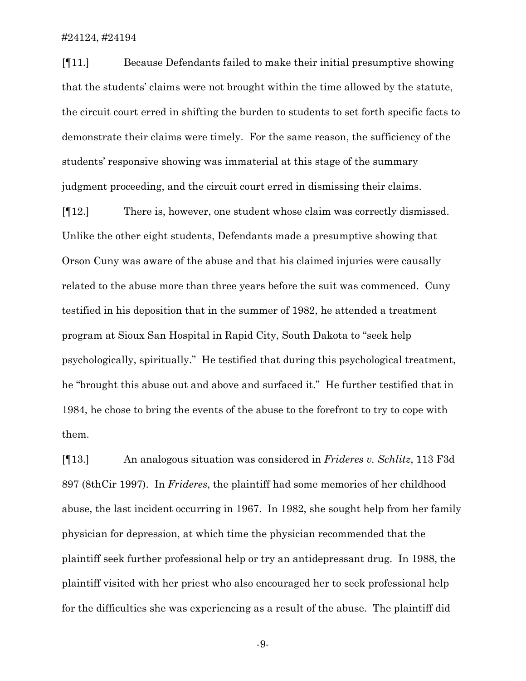[¶11.] Because Defendants failed to make their initial presumptive showing that the students' claims were not brought within the time allowed by the statute, the circuit court erred in shifting the burden to students to set forth specific facts to demonstrate their claims were timely. For the same reason, the sufficiency of the students' responsive showing was immaterial at this stage of the summary judgment proceeding, and the circuit court erred in dismissing their claims.

[¶12.] There is, however, one student whose claim was correctly dismissed. Unlike the other eight students, Defendants made a presumptive showing that Orson Cuny was aware of the abuse and that his claimed injuries were causally related to the abuse more than three years before the suit was commenced. Cuny testified in his deposition that in the summer of 1982, he attended a treatment program at Sioux San Hospital in Rapid City, South Dakota to "seek help psychologically, spiritually." He testified that during this psychological treatment, he "brought this abuse out and above and surfaced it." He further testified that in 1984, he chose to bring the events of the abuse to the forefront to try to cope with them.

[¶13.] An analogous situation was considered in *Frideres v. Schlitz*, 113 F3d 897 (8thCir 1997). In *Frideres*, the plaintiff had some memories of her childhood abuse, the last incident occurring in 1967. In 1982, she sought help from her family physician for depression, at which time the physician recommended that the plaintiff seek further professional help or try an antidepressant drug. In 1988, the plaintiff visited with her priest who also encouraged her to seek professional help for the difficulties she was experiencing as a result of the abuse. The plaintiff did

-9-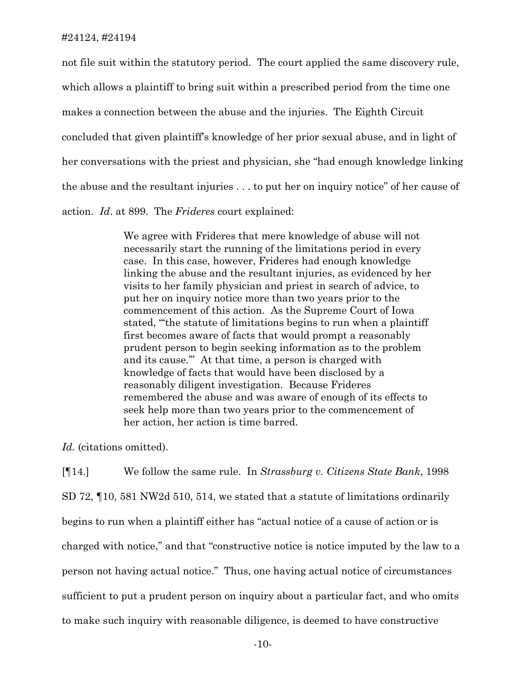not file suit within the statutory period. The court applied the same discovery rule, which allows a plaintiff to bring suit within a prescribed period from the time one makes a connection between the abuse and the injuries. The Eighth Circuit concluded that given plaintiff's knowledge of her prior sexual abuse, and in light of her conversations with the priest and physician, she "had enough knowledge linking the abuse and the resultant injuries . . . to put her on inquiry notice" of her cause of action. *Id*. at 899. The *Frideres* court explained:

> We agree with Frideres that mere knowledge of abuse will not necessarily start the running of the limitations period in every case. In this case, however, Frideres had enough knowledge linking the abuse and the resultant injuries, as evidenced by her visits to her family physician and priest in search of advice, to put her on inquiry notice more than two years prior to the commencement of this action. As the Supreme Court of Iowa stated, "'the statute of limitations begins to run when a plaintiff first becomes aware of facts that would prompt a reasonably prudent person to begin seeking information as to the problem and its cause.'" At that time, a person is charged with knowledge of facts that would have been disclosed by a reasonably diligent investigation. Because Frideres remembered the abuse and was aware of enough of its effects to seek help more than two years prior to the commencement of her action, her action is time barred.

*Id.* (citations omitted).

[¶14.] We follow the same rule. In *Strassburg v. Citizens State Bank*, 1998 SD 72, ¶10, 581 NW2d 510, 514, we stated that a statute of limitations ordinarily begins to run when a plaintiff either has "actual notice of a cause of action or is charged with notice," and that "constructive notice is notice imputed by the law to a person not having actual notice." Thus, one having actual notice of circumstances sufficient to put a prudent person on inquiry about a particular fact, and who omits to make such inquiry with reasonable diligence, is deemed to have constructive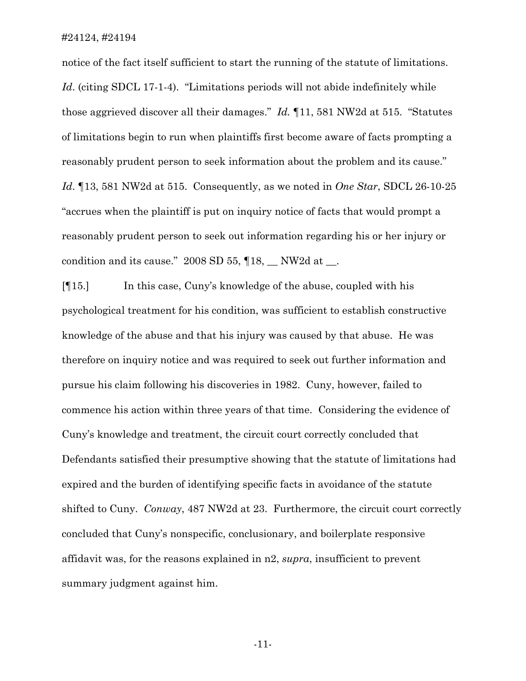notice of the fact itself sufficient to start the running of the statute of limitations. Id. (citing SDCL 17-1-4). "Limitations periods will not abide indefinitely while those aggrieved discover all their damages." *Id.* ¶11, 581 NW2d at 515. "Statutes of limitations begin to run when plaintiffs first become aware of facts prompting a reasonably prudent person to seek information about the problem and its cause." *Id*. ¶13, 581 NW2d at 515. Consequently, as we noted in *One Star*, SDCL 26-10-25 "accrues when the plaintiff is put on inquiry notice of facts that would prompt a reasonably prudent person to seek out information regarding his or her injury or condition and its cause."  $2008$  SD 55,  $\P$ 18,  $\hbox{NW2d}$  at  $\hbox{...}$ 

[¶15.] In this case, Cuny's knowledge of the abuse, coupled with his psychological treatment for his condition, was sufficient to establish constructive knowledge of the abuse and that his injury was caused by that abuse. He was therefore on inquiry notice and was required to seek out further information and pursue his claim following his discoveries in 1982. Cuny, however, failed to commence his action within three years of that time. Considering the evidence of Cuny's knowledge and treatment, the circuit court correctly concluded that Defendants satisfied their presumptive showing that the statute of limitations had expired and the burden of identifying specific facts in avoidance of the statute shifted to Cuny. *Conway*, 487 NW2d at 23. Furthermore, the circuit court correctly concluded that Cuny's nonspecific, conclusionary, and boilerplate responsive affidavit was, for the reasons explained in n2, *supra*, insufficient to prevent summary judgment against him.

-11-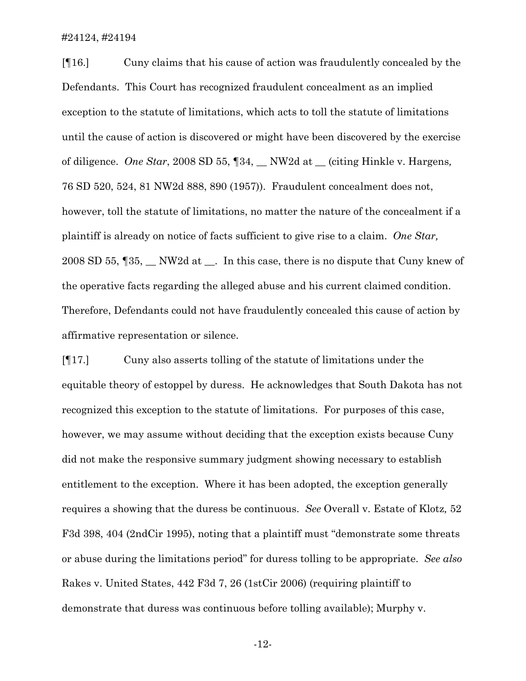[¶16.] Cuny claims that his cause of action was fraudulently concealed by the Defendants. This Court has recognized fraudulent concealment as an implied exception to the statute of limitations, which acts to toll the statute of limitations until the cause of action is discovered or might have been discovered by the exercise of diligence. *One Star*, 2008 SD 55, ¶34, \_\_ NW2d at \_\_ (citing Hinkle v. Hargens*,*  76 SD 520, 524, 81 NW2d 888, 890 (1957)). Fraudulent concealment does not, however, toll the statute of limitations, no matter the nature of the concealment if a plaintiff is already on notice of facts sufficient to give rise to a claim. *One Star,*  2008 SD 55,  $\sqrt{35}$ , NW2d at . In this case, there is no dispute that Cuny knew of the operative facts regarding the alleged abuse and his current claimed condition. Therefore, Defendants could not have fraudulently concealed this cause of action by affirmative representation or silence.

[¶17.] Cuny also asserts tolling of the statute of limitations under the equitable theory of estoppel by duress. He acknowledges that South Dakota has not recognized this exception to the statute of limitations. For purposes of this case, however, we may assume without deciding that the exception exists because Cuny did not make the responsive summary judgment showing necessary to establish entitlement to the exception. Where it has been adopted, the exception generally requires a showing that the duress be continuous. *See* Overall v. Estate of Klotz*,* 52 F3d 398, 404 (2ndCir 1995), noting that a plaintiff must "demonstrate some threats or abuse during the limitations period" for duress tolling to be appropriate. *See also*  Rakes v. United States, 442 F3d 7, 26 (1stCir 2006) (requiring plaintiff to demonstrate that duress was continuous before tolling available); Murphy v.

-12-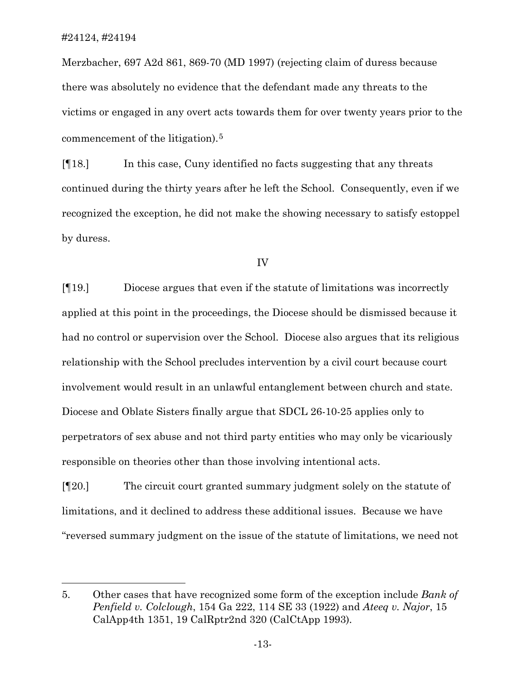$\overline{a}$ 

Merzbacher, 697 A2d 861, 869-70 (MD 1997) (rejecting claim of duress because there was absolutely no evidence that the defendant made any threats to the victims or engaged in any overt acts towards them for over twenty years prior to the commencement of the litigation).[5](#page-14-0)

[¶18.] In this case, Cuny identified no facts suggesting that any threats continued during the thirty years after he left the School. Consequently, even if we recognized the exception, he did not make the showing necessary to satisfy estoppel by duress.

IV

[¶19.] Diocese argues that even if the statute of limitations was incorrectly applied at this point in the proceedings, the Diocese should be dismissed because it had no control or supervision over the School. Diocese also argues that its religious relationship with the School precludes intervention by a civil court because court involvement would result in an unlawful entanglement between church and state. Diocese and Oblate Sisters finally argue that SDCL 26-10-25 applies only to perpetrators of sex abuse and not third party entities who may only be vicariously responsible on theories other than those involving intentional acts.

[¶20.] The circuit court granted summary judgment solely on the statute of limitations, and it declined to address these additional issues. Because we have "reversed summary judgment on the issue of the statute of limitations, we need not

<span id="page-14-0"></span><sup>5.</sup> Other cases that have recognized some form of the exception include *Bank of Penfield v. Colclough*, 154 Ga 222, 114 SE 33 (1922) and *Ateeq v. Najor*, 15 CalApp4th 1351, 19 CalRptr2nd 320 (CalCtApp 1993)*.*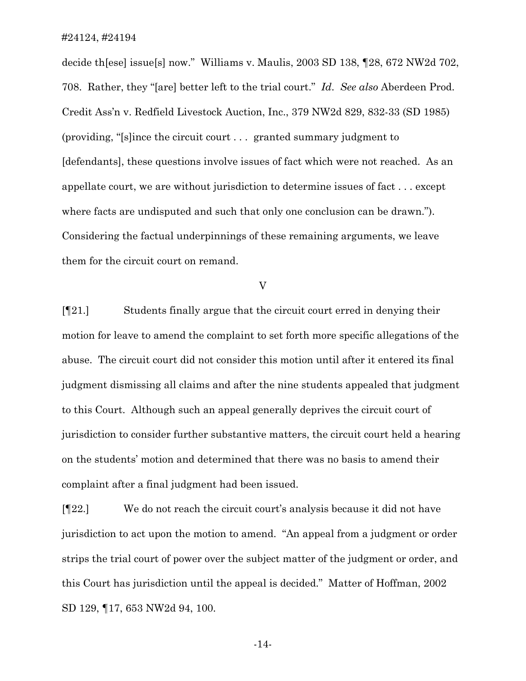decide th[ese] issue[s] now." Williams v. Maulis, 2003 SD 138, ¶28, 672 NW2d 702, 708. Rather, they "[are] better left to the trial court." *Id*. *See also* Aberdeen Prod. Credit Ass'n v. Redfield Livestock Auction, Inc., 379 NW2d 829, 832-33 (SD 1985) (providing, "[s]ince the circuit court . . . granted summary judgment to [defendants], these questions involve issues of fact which were not reached. As an appellate court, we are without jurisdiction to determine issues of fact . . . except where facts are undisputed and such that only one conclusion can be drawn."). Considering the factual underpinnings of these remaining arguments, we leave them for the circuit court on remand.

V

[¶21.] Students finally argue that the circuit court erred in denying their motion for leave to amend the complaint to set forth more specific allegations of the abuse. The circuit court did not consider this motion until after it entered its final judgment dismissing all claims and after the nine students appealed that judgment to this Court. Although such an appeal generally deprives the circuit court of jurisdiction to consider further substantive matters, the circuit court held a hearing on the students' motion and determined that there was no basis to amend their complaint after a final judgment had been issued.

[¶22.] We do not reach the circuit court's analysis because it did not have jurisdiction to act upon the motion to amend. "An appeal from a judgment or order strips the trial court of power over the subject matter of the judgment or order, and this Court has jurisdiction until the appeal is decided." Matter of Hoffman, 2002 SD 129, ¶17, 653 NW2d 94, 100.

-14-